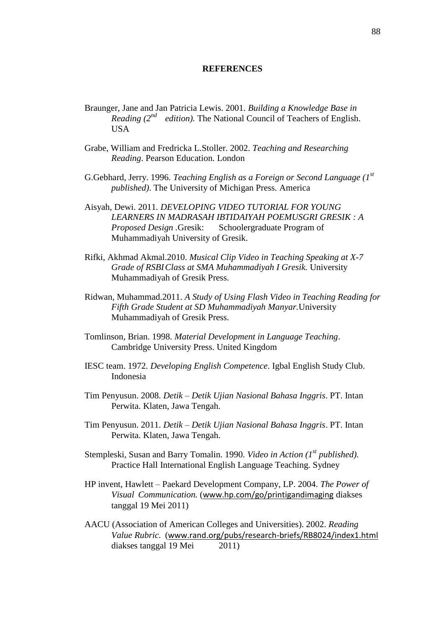## **REFERENCES**

- Braunger, Jane and Jan Patricia Lewis. 2001. *Building a Knowledge Base in Reading (2nd edition).* The National Council of Teachers of English. **USA**
- Grabe, William and Fredricka L.Stoller. 2002. *Teaching and Researching Reading*. Pearson Education. London
- G.Gebhard, Jerry. 1996. *Teaching English as a Foreign or Second Language (1st published)*. The University of Michigan Press. America
- Aisyah, Dewi. 2011*. DEVELOPING VIDEO TUTORIAL FOR YOUNG LEARNERS IN MADRASAH IBTIDAIYAH POEMUSGRI GRESIK : A Proposed Design .*Gresik: Schoolergraduate Program of Muhammadiyah University of Gresik.
- Rifki, Akhmad Akmal.2010. *Musical Clip Video in Teaching Speaking at X-7 Grade of RSBIClass at SMA Muhammadiyah I Gresik.* University Muhammadiyah of Gresik Press.
- Ridwan, Muhammad.2011. *A Study of Using Flash Video in Teaching Reading for Fifth Grade Student at SD Muhammadiyah Manyar.*University Muhammadiyah of Gresik Press.
- Tomlinson, Brian. 1998. *Material Development in Language Teaching*. Cambridge University Press. United Kingdom
- IESC team. 1972. *Developing English Competence*. Igbal English Study Club. Indonesia
- Tim Penyusun. 2008. *Detik – Detik Ujian Nasional Bahasa Inggris*. PT. Intan Perwita. Klaten, Jawa Tengah.
- Tim Penyusun. 2011. *Detik – Detik Ujian Nasional Bahasa Inggris*. PT. Intan Perwita. Klaten, Jawa Tengah.
- Stempleski, Susan and Barry Tomalin. 1990. *Video in Action (1st published).* Practice Hall International English Language Teaching. Sydney
- HP invent, Hawlett Paekard Development Company, LP. 2004. *The Power of Visual Communication.* ([www.hp.com/go/printigandimaging](http://www.hp.com/go/printigandimaging) diakses tanggal 19 Mei 2011)
- AACU (Association of American Colleges and Universities). 2002. *Reading Value Rubric.* ([www.rand.org/pubs/research-briefs/RB8024/index1.html](http://www.rand.org/pubs/research-briefs/RB8024/index1.html) diakses tanggal 19 Mei 2011)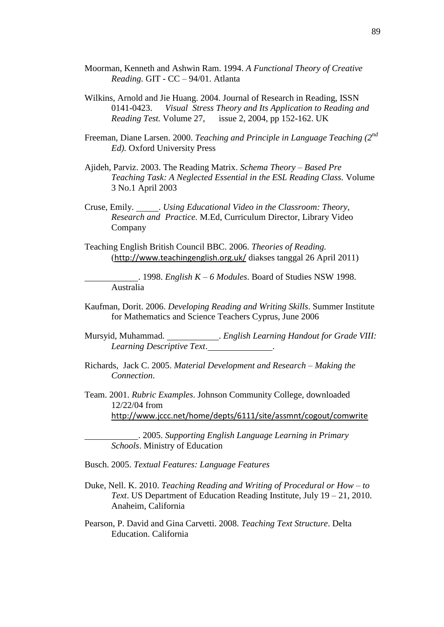- Moorman, Kenneth and Ashwin Ram. 1994. *A Functional Theory of Creative Reading.* GIT - CC – 94/01. Atlanta
- Wilkins, Arnold and Jie Huang. 2004. Journal of Research in Reading, ISSN 0141-0423. *Visual Stress Theory and Its Application to Reading and Reading Test.* Volume 27, issue 2, 2004, pp 152-162. UK
- Freeman, Diane Larsen. 2000. *Teaching and Principle in Language Teaching (2nd Ed).* Oxford University Press
- Ajideh, Parviz. 2003. The Reading Matrix. *Schema Theory – Based Pre Teaching Task: A Neglected Essential in the ESL Reading Class.* Volume 3 No.1 April 2003
- Cruse, Emily. . *Using Educational Video in the Classroom: Theory, Research and Practice.* M.Ed, Curriculum Director, Library Video Company
- Teaching English British Council BBC. 2006. *Theories of Reading.* (<http://www.teachingenglish.org.uk/> diakses tanggal 26 April 2011)

. 1998. *English K – 6 Modules*. Board of Studies NSW 1998. Australia

- Kaufman, Dorit. 2006. *Developing Reading and Writing Skills*. Summer Institute for Mathematics and Science Teachers Cyprus, June 2006
- Mursyid, Muhammad. . *English Learning Handout for Grade VIII: Learning Descriptive Text*. .
- Richards, Jack C. 2005. *Material Development and Research – Making the Connection*.
- Team. 2001. *Rubric Examples*. Johnson Community College, downloaded 12/22/04 from <http://www.jccc.net/home/depts/6111/site/assmnt/cogout/comwrite>

. 2005. *Supporting English Language Learning in Primary Schools*. Ministry of Education

Busch. 2005. *Textual Features: Language Features*

- Duke, Nell. K. 2010. *Teaching Reading and Writing of Procedural or How – to Text*. US Department of Education Reading Institute, July 19 – 21, 2010. Anaheim, California
- Pearson, P. David and Gina Carvetti. 2008. *Teaching Text Structure*. Delta Education. California